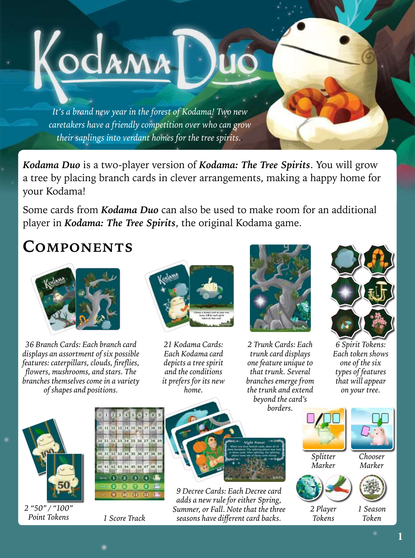*It's a brand new year in the forest of Kodama! Two new caretakers have a friendly competition over who can grow their saplings into verdant homes for the tree spirits..*

KodamaT

*Kodama Duo* is a two-player version of *Kodama: The Tree Spirits*. You will grow a tree by placing branch cards in clever arrangements, making a happy home for your Kodama!

Some cards from *Kodama Duo* can also be used to make room for an additional player in *Kodama: The Tree Spirits*, the original Kodama game.

## **Components**



*36 Branch Cards: Each branch card displays an assortment of six possible features: caterpillars, clouds, fireflies, flowers, mushrooms, and stars. The branches themselves come in a variety of shapes and positions.*



*21 Kodama Cards: Each Kodama card depicts a tree spirit and the conditions it prefers for its new home.*



*2 Trunk Cards: Each trunk card displays one feature unique to that trunk. Several branches emerge from the trunk and extend beyond the card's borders.*



*6 Spirit Tokens: Each token shows one of the six types of features that will appear on your tree.*



*2 "50" / "100"* 



*Point Tokens 1 Score Track*



*9 Decree Cards: Each Decree card adds a new rule for either Spring, Summer, or Fall. Note that the three seasons have different card backs.*



*2 Player Tokens*

*1 Season Token*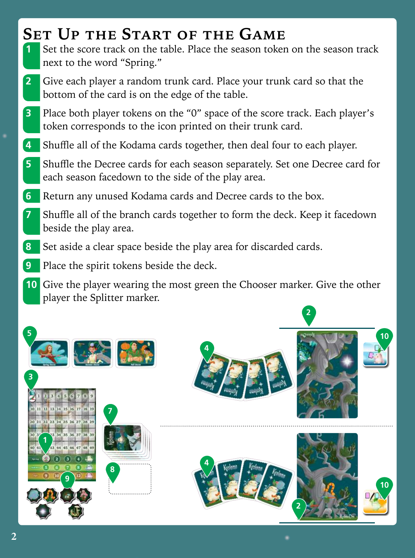# **Set Up the Start of the Game**

- Set the score track on the table. Place the season token on the season track next to the word "Spring."
- Give each player a random trunk card. Place your trunk card so that the bottom of the card is on the edge of the table.
- Place both player tokens on the "0" space of the score track. Each player's token corresponds to the icon printed on their trunk card.
- Shuffle all of the Kodama cards together, then deal four to each player.
- Shuffle the Decree cards for each season separately. Set one Decree card for each season facedown to the side of the play area.
- Return any unused Kodama cards and Decree cards to the box.
- Shuffle all of the branch cards together to form the deck. Keep it facedown beside the play area.
- Set aside a clear space beside the play area for discarded cards.
- Place the spirit tokens beside the deck.
- Give the player wearing the most green the Chooser marker. Give the other player the Splitter marker.

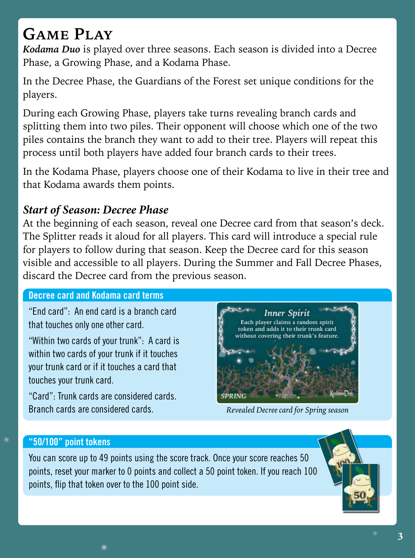# **Game Play**

*Kodama Duo* is played over three seasons. Each season is divided into a Decree Phase, a Growing Phase, and a Kodama Phase.

In the Decree Phase, the Guardians of the Forest set unique conditions for the players.

During each Growing Phase, players take turns revealing branch cards and splitting them into two piles. Their opponent will choose which one of the two piles contains the branch they want to add to their tree. Players will repeat this process until both players have added four branch cards to their trees.

In the Kodama Phase, players choose one of their Kodama to live in their tree and that Kodama awards them points.

### *Start of Season: Decree Phase*

At the beginning of each season, reveal one Decree card from that season's deck. The Splitter reads it aloud for all players. This card will introduce a special rule for players to follow during that season. Keep the Decree card for this season visible and accessible to all players. During the Summer and Fall Decree Phases, discard the Decree card from the previous season.

#### **Decree card and Kodama card terms**

"End card": An end card is a branch card that touches only one other card.

"Within two cards of your trunk": A card is within two cards of your trunk if it touches your trunk card or if it touches a card that touches your trunk card.

"Card": Trunk cards are considered cards. Branch cards are considered cards.



*Revealed Decree card for Spring season*

#### **"50/100" point tokens**

You can score up to 49 points using the score track. Once your score reaches 50 points, reset your marker to 0 points and collect a 50 point token. If you reach 100 points, flip that token over to the 100 point side.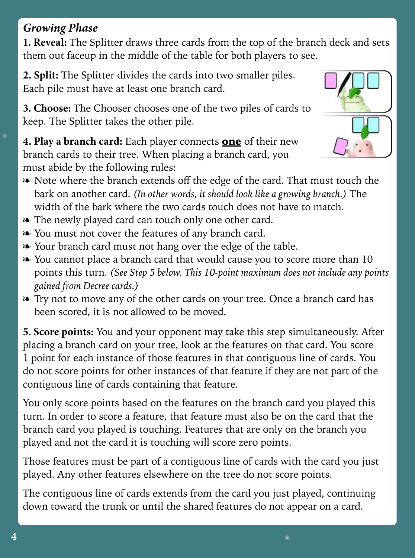## *Growing Phase*

**1. Reveal:** The Splitter draws three cards from the top of the branch deck and sets them out faceup in the middle of the table for both players to see.

**2. Split:** The Splitter divides the cards into two smaller piles. Each pile must have at least one branch card.

**3. Choose:** The Chooser chooses one of the two piles of cards to keep. The Splitter takes the other pile.

**4. Play a branch card:** Each player connects **one** of their new branch cards to their tree. When placing a branch card, you must abide by the following rules:



- ❧ Note where the branch extends off the edge of the card. That must touch the bark on another card. *(In other words, it should look like a growing branch.)* The width of the bark where the two cards touch does not have to match.
- ❧ The newly played card can touch only one other card.
- ❧ You must not cover the features of any branch card.
- ❧ Your branch card must not hang over the edge of the table.
- ❧ You cannot place a branch card that would cause you to score more than 10 points this turn. *(See Step 5 below. This 10-point maximum does not include any points gained from Decree cards.)*
- ❧ Try not to move any of the other cards on your tree. Once a branch card has been scored, it is not allowed to be moved.

**5. Score points:** You and your opponent may take this step simultaneously. After placing a branch card on your tree, look at the features on that card. You score 1 point for each instance of those features in that contiguous line of cards. You do not score points for other instances of that feature if they are not part of the contiguous line of cards containing that feature.

You only score points based on the features on the branch card you played this turn. In order to score a feature, that feature must also be on the card that the branch card you played is touching. Features that are only on the branch you played and not the card it is touching will score zero points.

Those features must be part of a contiguous line of cards with the card you just played. Any other features elsewhere on the tree do not score points.

The contiguous line of cards extends from the card you just played, continuing down toward the trunk or until the shared features do not appear on a card.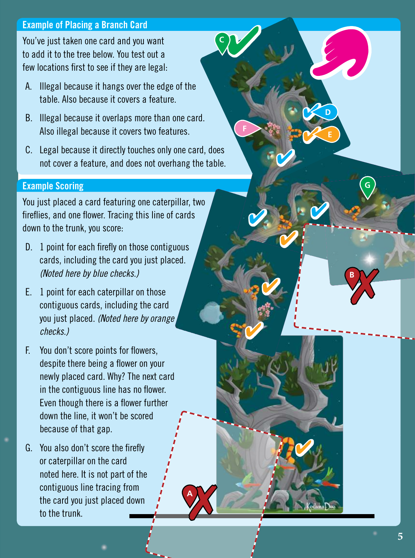#### **Example of Placing a Branch Card**

You've just taken one card and you want to add it to the tree below. You test out a few locations first to see if they are legal:

- A. Illegal because it hangs over the edge of the table. Also because it covers a feature.
- B. Illegal because it overlaps more than one card. Also illegal because it covers two features.
- C. Legal because it directly touches only one card, does not cover a feature, and does not overhang the table.

#### **Example Scoring**

You just placed a card featuring one caterpillar, two fireflies, and one flower. Tracing this line of cards down to the trunk, you score:

- D. 1 point for each firefly on those contiguous cards, including the card you just placed. *(Noted here by blue checks.)*
- E. 1 point for each caterpillar on those contiguous cards, including the card you just placed. *(Noted here by orange checks.)*
- F. You don't score points for flowers, despite there being a flower on your newly placed card. Why? The next card in the contiguous line has no flower. Even though there is a flower further down the line, it won't be scored because of that gap.
- G. You also don't score the firefly or caterpillar on the card noted here. It is not part of the contiguous line tracing from the card you just placed down to the trunk.

**A**

 **D**

 **E**

**G**

**B**

**F**

**C**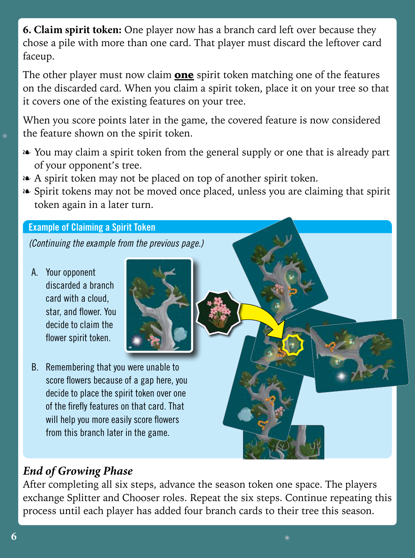**6. Claim spirit token:** One player now has a branch card left over because they chose a pile with more than one card. That player must discard the leftover card faceup.

The other player must now claim **one** spirit token matching one of the features on the discarded card. When you claim a spirit token, place it on your tree so that it covers one of the existing features on your tree.

When you score points later in the game, the covered feature is now considered the feature shown on the spirit token.

- ❧ You may claim a spirit token from the general supply or one that is already part of your opponent's tree.
- ❧ A spirit token may not be placed on top of another spirit token.
- ❧ Spirit tokens may not be moved once placed, unless you are claiming that spirit token again in a later turn.

#### **Example of Claiming a Spirit Token**

*(Continuing the example from the previous page.)*

A. Your opponent discarded a branch card with a cloud, star, and flower. You decide to claim the flower spirit token.



B. Remembering that you were unable to score flowers because of a gap here, you decide to place the spirit token over one of the firefly features on that card. That will help you more easily score flowers from this branch later in the game.

## *End of Growing Phase*

After completing all six steps, advance the season token one space. The players exchange Splitter and Chooser roles. Repeat the six steps. Continue repeating this process until each player has added four branch cards to their tree this season.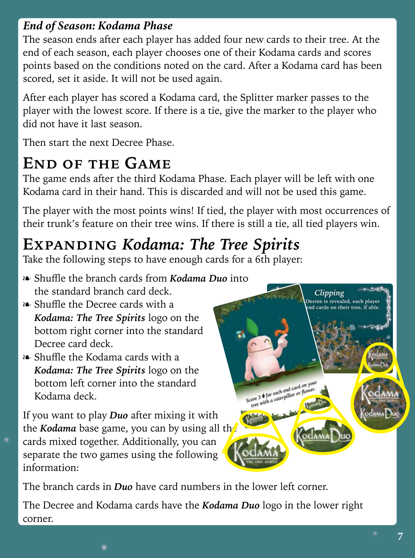### *End of Season: Kodama Phase*

The season ends after each player has added four new cards to their tree. At the end of each season, each player chooses one of their Kodama cards and scores points based on the conditions noted on the card. After a Kodama card has been scored, set it aside. It will not be used again.

After each player has scored a Kodama card, the Splitter marker passes to the player with the lowest score. If there is a tie, give the marker to the player who did not have it last season.

Then start the next Decree Phase.

## **End of the Game**

The game ends after the third Kodama Phase. Each player will be left with one Kodama card in their hand. This is discarded and will not be used this game.

The player with the most points wins! If tied, the player with most occurrences of their trunk's feature on their tree wins. If there is still a tie, all tied players win.

# **Expanding** *Kodama: The Tree Spirits*

Take the following steps to have enough cards for a 6th player:

- ❧ Shuffle the branch cards from *Kodama Duo* into the standard branch card deck.
- ❧ Shuffle the Decree cards with a *Kodama: The Tree Spirits* logo on the bottom right corner into the standard Decree card deck.
- ❧ Shuffle the Kodama cards with a *Kodama: The Tree Spirits* logo on the bottom left corner into the standard Kodama deck.

If you want to play *Duo* after mixing it with the *Kodama* base game, you can by using all the cards mixed together. Additionally, you can separate the two games using the following information:



**7**

The branch cards in *Duo* have card numbers in the lower left corner.

The Decree and Kodama cards have the *Kodama Duo* logo in the lower right corner.